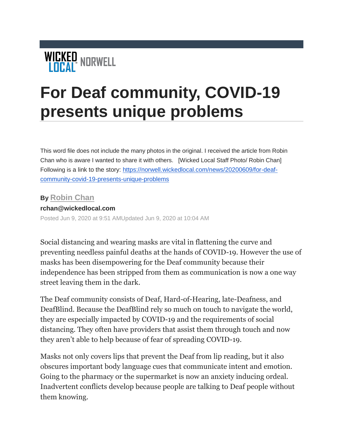

## **For Deaf community, COVID-19 presents unique problems**

This word file does not include the many photos in the original. I received the article from Robin Chan who is aware I wanted to share it with others. [Wicked Local Staff Photo/ Robin Chan] Following is a link to the story: [https://norwell.wickedlocal.com/news/20200609/for-deaf](https://norwell.wickedlocal.com/news/20200609/for-deaf-community-covid-19-presents-unique-problems)[community-covid-19-presents-unique-problems](https://norwell.wickedlocal.com/news/20200609/for-deaf-community-covid-19-presents-unique-problems)

## **By [Robin Chan](mailto:rchan@wickedlocal.com)**

## **rchan@wickedlocal.com**

Posted Jun 9, 2020 at 9:51 AMUpdated Jun 9, 2020 at 10:04 AM

Social distancing and wearing masks are vital in flattening the curve and preventing needless painful deaths at the hands of COVID-19. However the use of masks has been disempowering for the Deaf community because their independence has been stripped from them as communication is now a one way street leaving them in the dark.

The Deaf community consists of Deaf, Hard-of-Hearing, late-Deafness, and DeafBlind. Because the DeafBlind rely so much on touch to navigate the world, they are especially impacted by COVID-19 and the requirements of social distancing. They often have providers that assist them through touch and now they aren't able to help because of fear of spreading COVID-19.

Masks not only covers lips that prevent the Deaf from lip reading, but it also obscures important body language cues that communicate intent and emotion. Going to the pharmacy or the supermarket is now an anxiety inducing ordeal. Inadvertent conflicts develop because people are talking to Deaf people without them knowing.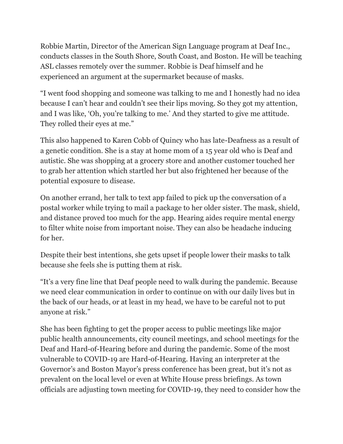Robbie Martin, Director of the American Sign Language program at Deaf Inc., conducts classes in the South Shore, South Coast, and Boston. He will be teaching ASL classes remotely over the summer. Robbie is Deaf himself and he experienced an argument at the supermarket because of masks.

"I went food shopping and someone was talking to me and I honestly had no idea because I can't hear and couldn't see their lips moving. So they got my attention, and I was like, 'Oh, you're talking to me.' And they started to give me attitude. They rolled their eyes at me."

This also happened to Karen Cobb of Quincy who has late-Deafness as a result of a genetic condition. She is a stay at home mom of a 15 year old who is Deaf and autistic. She was shopping at a grocery store and another customer touched her to grab her attention which startled her but also frightened her because of the potential exposure to disease.

On another errand, her talk to text app failed to pick up the conversation of a postal worker while trying to mail a package to her older sister. The mask, shield, and distance proved too much for the app. Hearing aides require mental energy to filter white noise from important noise. They can also be headache inducing for her.

Despite their best intentions, she gets upset if people lower their masks to talk because she feels she is putting them at risk.

"It's a very fine line that Deaf people need to walk during the pandemic. Because we need clear communication in order to continue on with our daily lives but in the back of our heads, or at least in my head, we have to be careful not to put anyone at risk."

She has been fighting to get the proper access to public meetings like major public health announcements, city council meetings, and school meetings for the Deaf and Hard-of-Hearing before and during the pandemic. Some of the most vulnerable to COVID-19 are Hard-of-Hearing. Having an interpreter at the Governor's and Boston Mayor's press conference has been great, but it's not as prevalent on the local level or even at White House press briefings. As town officials are adjusting town meeting for COVID-19, they need to consider how the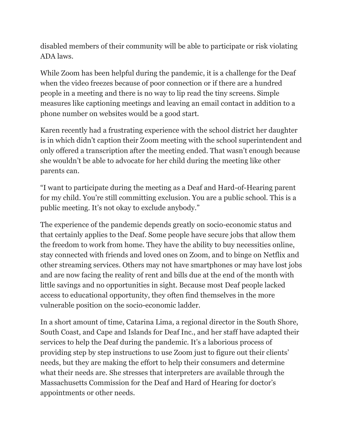disabled members of their community will be able to participate or risk violating ADA laws.

While Zoom has been helpful during the pandemic, it is a challenge for the Deaf when the video freezes because of poor connection or if there are a hundred people in a meeting and there is no way to lip read the tiny screens. Simple measures like captioning meetings and leaving an email contact in addition to a phone number on websites would be a good start.

Karen recently had a frustrating experience with the school district her daughter is in which didn't caption their Zoom meeting with the school superintendent and only offered a transcription after the meeting ended. That wasn't enough because she wouldn't be able to advocate for her child during the meeting like other parents can.

"I want to participate during the meeting as a Deaf and Hard-of-Hearing parent for my child. You're still committing exclusion. You are a public school. This is a public meeting. It's not okay to exclude anybody."

The experience of the pandemic depends greatly on socio-economic status and that certainly applies to the Deaf. Some people have secure jobs that allow them the freedom to work from home. They have the ability to buy necessities online, stay connected with friends and loved ones on Zoom, and to binge on Netflix and other streaming services. Others may not have smartphones or may have lost jobs and are now facing the reality of rent and bills due at the end of the month with little savings and no opportunities in sight. Because most Deaf people lacked access to educational opportunity, they often find themselves in the more vulnerable position on the socio-economic ladder.

In a short amount of time, Catarina Lima, a regional director in the South Shore, South Coast, and Cape and Islands for Deaf Inc., and her staff have adapted their services to help the Deaf during the pandemic. It's a laborious process of providing step by step instructions to use Zoom just to figure out their clients' needs, but they are making the effort to help their consumers and determine what their needs are. She stresses that interpreters are available through the Massachusetts Commission for the Deaf and Hard of Hearing for doctor's appointments or other needs.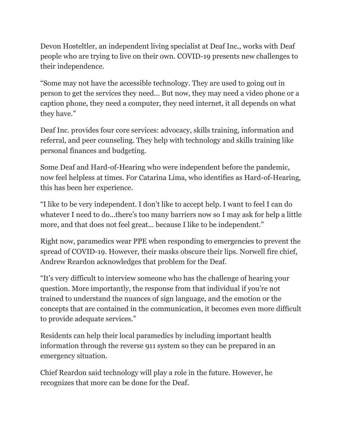Devon Hosteltler, an independent living specialist at Deaf Inc., works with Deaf people who are trying to live on their own. COVID-19 presents new challenges to their independence.

"Some may not have the accessible technology. They are used to going out in person to get the services they need... But now, they may need a video phone or a caption phone, they need a computer, they need internet, it all depends on what they have."

Deaf Inc. provides four core services: advocacy, skills training, information and referral, and peer counseling. They help with technology and skills training like personal finances and budgeting.

Some Deaf and Hard-of-Hearing who were independent before the pandemic, now feel helpless at times. For Catarina Lima, who identifies as Hard-of-Hearing, this has been her experience.

"I like to be very independent. I don't like to accept help. I want to feel I can do whatever I need to do...there's too many barriers now so I may ask for help a little more, and that does not feel great... because I like to be independent."

Right now, paramedics wear PPE when responding to emergencies to prevent the spread of COVID-19. However, their masks obscure their lips. Norwell fire chief, Andrew Reardon acknowledges that problem for the Deaf.

"It's very difficult to interview someone who has the challenge of hearing your question. More importantly, the response from that individual if you're not trained to understand the nuances of sign language, and the emotion or the concepts that are contained in the communication, it becomes even more difficult to provide adequate services."

Residents can help their local paramedics by including important health information through the reverse 911 system so they can be prepared in an emergency situation.

Chief Reardon said technology will play a role in the future. However, he recognizes that more can be done for the Deaf.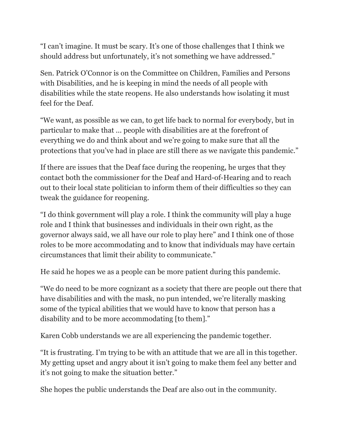"I can't imagine. It must be scary. It's one of those challenges that I think we should address but unfortunately, it's not something we have addressed."

Sen. Patrick O'Connor is on the Committee on Children, Families and Persons with Disabilities, and he is keeping in mind the needs of all people with disabilities while the state reopens. He also understands how isolating it must feel for the Deaf.

"We want, as possible as we can, to get life back to normal for everybody, but in particular to make that ... people with disabilities are at the forefront of everything we do and think about and we're going to make sure that all the protections that you've had in place are still there as we navigate this pandemic."

If there are issues that the Deaf face during the reopening, he urges that they contact both the commissioner for the Deaf and Hard-of-Hearing and to reach out to their local state politician to inform them of their difficulties so they can tweak the guidance for reopening.

"I do think government will play a role. I think the community will play a huge role and I think that businesses and individuals in their own right, as the governor always said, we all have our role to play here" and I think one of those roles to be more accommodating and to know that individuals may have certain circumstances that limit their ability to communicate."

He said he hopes we as a people can be more patient during this pandemic.

"We do need to be more cognizant as a society that there are people out there that have disabilities and with the mask, no pun intended, we're literally masking some of the typical abilities that we would have to know that person has a disability and to be more accommodating [to them]."

Karen Cobb understands we are all experiencing the pandemic together.

"It is frustrating. I'm trying to be with an attitude that we are all in this together. My getting upset and angry about it isn't going to make them feel any better and it's not going to make the situation better."

She hopes the public understands the Deaf are also out in the community.